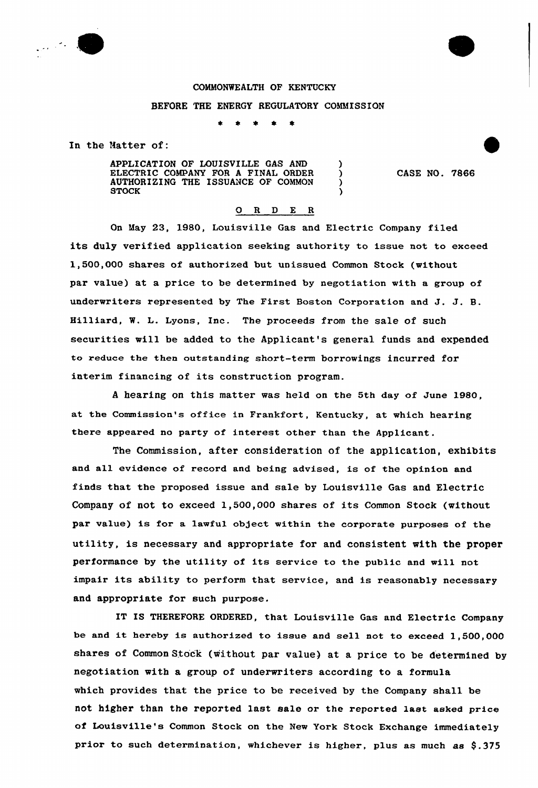

## COMMONWEALTH OF KENTUCKY

## BEFORE THE ENERGY REGULATORY COMMISSION

 $\bullet$  $\bullet$ 

In the Natter of:

APPLICATION OF LOUISVILLE GAS AND ) ELECTRIC COMPANY FOR A FINAL ORDER ) AUTHORIZING THE ISSUANCE OF COMMON ) STOCK (SECOND)

CASE NO. 7866

## 0 R <sup>D</sup> E <sup>R</sup>

On May 23, 1980, Louisville Gas and Electric Company filed its duly verified application seeking authority to issue not to exceed 1,500,000 shares of authorized but unissued Common Stock (without par value) at a price to be determined by negotiation with a group of underwriters represented by The First Boston Corporation and J. J. B. Hilliard, W. L. Lyons, Inc. The proceeds from the sale of such securities mill be added to the Applicant's general funds and expended to reduce the then outstanding short-term borrowings incurred for interim financing of its construction program.

<sup>A</sup> hearing on this matter was held on the 5th day of June 1980, at the Commission's office in Frankfort, Kentucky, at which hearing there appeared no party of interest other than the Applicant.

The Commission, after consideration of the application, exhibits and all evidence of record and being advised, is of the opinion and finds that the proposed issue and sale by Louisville Gas and Electric Company of not to exceed 1,500,000 shares of its Common Stock {without par value) is for a lawful object within the corporate purposes of the utility, is necessary and appropriate for and consistent with the proper performance by the utility of its service to the public and will not impair its ability to perform that service, and is reasonably necessary and appropriate for such purpose.

IT IS THEREFORE ORDERED, that Louisville Gas and Electric Company be and it hereby is authorized to issue and sell not to exceed 1,500,000 shares of Common Stock (without par value) at a price to be determined by negotiation with a group of underwriters according to a formula which provides that the price to be received by the Company shall be not higher than the reported last sale or the reported last asked price of Louisville's Common Stock on the New York Stock Exchange immediately prior to such determination, whichever is higher, plus as much as  $$.375$